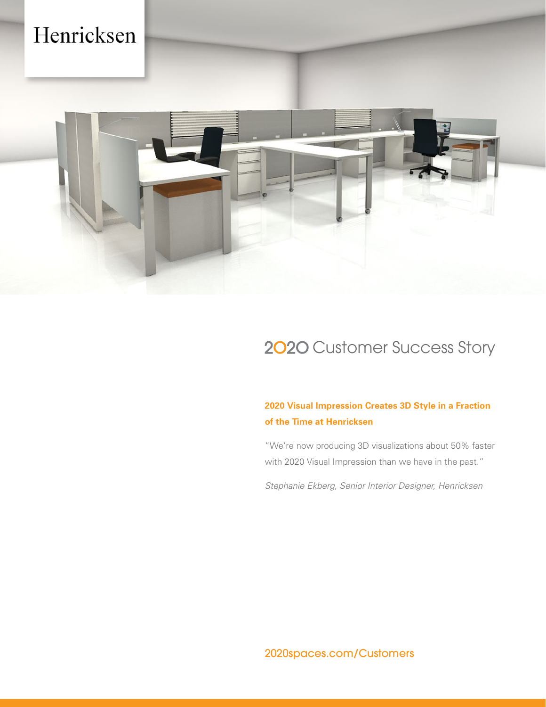# Henricksen



### 2020 Customer Success Story

### **2020 Visual Impression Creates 3D Style in a Fraction of the Time at Henricksen**

"We're now producing 3D visualizations about 50% faster with 2020 Visual Impression than we have in the past."

*Stephanie Ekberg, Senior Interior Designer, Henricksen*